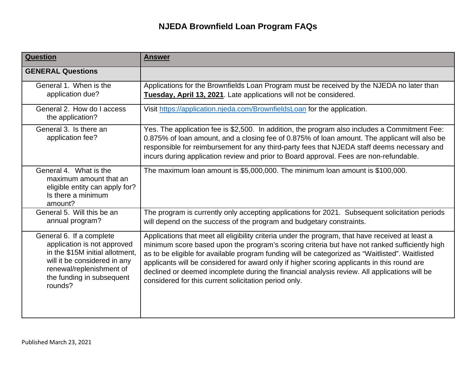| Question                                                                                                                                                                                       | <b>Answer</b>                                                                                                                                                                                                                                                                                                                                                                                                                                                                                                                                                |
|------------------------------------------------------------------------------------------------------------------------------------------------------------------------------------------------|--------------------------------------------------------------------------------------------------------------------------------------------------------------------------------------------------------------------------------------------------------------------------------------------------------------------------------------------------------------------------------------------------------------------------------------------------------------------------------------------------------------------------------------------------------------|
| <b>GENERAL Questions</b>                                                                                                                                                                       |                                                                                                                                                                                                                                                                                                                                                                                                                                                                                                                                                              |
| General 1. When is the<br>application due?                                                                                                                                                     | Applications for the Brownfields Loan Program must be received by the NJEDA no later than<br>Tuesday, April 13, 2021. Late applications will not be considered.                                                                                                                                                                                                                                                                                                                                                                                              |
| General 2. How do I access<br>the application?                                                                                                                                                 | Visit https://application.njeda.com/BrownfieldsLoan for the application.                                                                                                                                                                                                                                                                                                                                                                                                                                                                                     |
| General 3. Is there an<br>application fee?                                                                                                                                                     | Yes. The application fee is \$2,500. In addition, the program also includes a Commitment Fee:<br>0.875% of loan amount, and a closing fee of 0.875% of loan amount. The applicant will also be<br>responsible for reimbursement for any third-party fees that NJEDA staff deems necessary and<br>incurs during application review and prior to Board approval. Fees are non-refundable.                                                                                                                                                                      |
| General 4. What is the<br>maximum amount that an<br>eligible entity can apply for?<br>Is there a minimum<br>amount?                                                                            | The maximum loan amount is \$5,000,000. The minimum loan amount is \$100,000.                                                                                                                                                                                                                                                                                                                                                                                                                                                                                |
| General 5. Will this be an<br>annual program?                                                                                                                                                  | The program is currently only accepting applications for 2021. Subsequent solicitation periods<br>will depend on the success of the program and budgetary constraints.                                                                                                                                                                                                                                                                                                                                                                                       |
| General 6. If a complete<br>application is not approved<br>in the \$15M initial allotment,<br>will it be considered in any<br>renewal/replenishment of<br>the funding in subsequent<br>rounds? | Applications that meet all eligibility criteria under the program, that have received at least a<br>minimum score based upon the program's scoring criteria but have not ranked sufficiently high<br>as to be eligible for available program funding will be categorized as "Waitlisted". Waitlisted<br>applicants will be considered for award only if higher scoring applicants in this round are<br>declined or deemed incomplete during the financial analysis review. All applications will be<br>considered for this current solicitation period only. |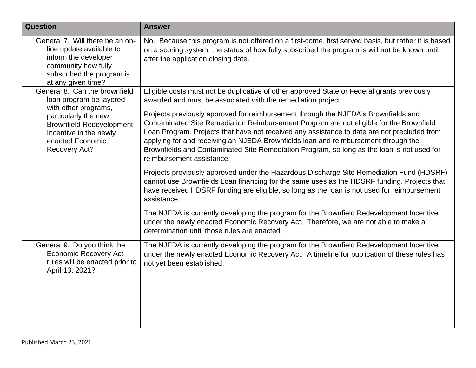| <b>Question</b>                                                                                                                                                                                            | <b>Answer</b>                                                                                                                                                                                                                                                                                                                                                                                                                                                                                                                                                                                                                   |
|------------------------------------------------------------------------------------------------------------------------------------------------------------------------------------------------------------|---------------------------------------------------------------------------------------------------------------------------------------------------------------------------------------------------------------------------------------------------------------------------------------------------------------------------------------------------------------------------------------------------------------------------------------------------------------------------------------------------------------------------------------------------------------------------------------------------------------------------------|
| General 7. Will there be an on-<br>line update available to<br>inform the developer<br>community how fully<br>subscribed the program is<br>at any given time?                                              | No. Because this program is not offered on a first-come, first served basis, but rather it is based<br>on a scoring system, the status of how fully subscribed the program is will not be known until<br>after the application closing date.                                                                                                                                                                                                                                                                                                                                                                                    |
| General 8. Can the brownfield<br>loan program be layered<br>with other programs,<br>particularly the new<br><b>Brownfield Redevelopment</b><br>Incentive in the newly<br>enacted Economic<br>Recovery Act? | Eligible costs must not be duplicative of other approved State or Federal grants previously<br>awarded and must be associated with the remediation project.<br>Projects previously approved for reimbursement through the NJEDA's Brownfields and<br>Contaminated Site Remediation Reimbursement Program are not eligible for the Brownfield<br>Loan Program. Projects that have not received any assistance to date are not precluded from<br>applying for and receiving an NJEDA Brownfields loan and reimbursement through the<br>Brownfields and Contaminated Site Remediation Program, so long as the loan is not used for |
|                                                                                                                                                                                                            | reimbursement assistance.<br>Projects previously approved under the Hazardous Discharge Site Remediation Fund (HDSRF)<br>cannot use Brownfields Loan financing for the same uses as the HDSRF funding. Projects that<br>have received HDSRF funding are eligible, so long as the loan is not used for reimbursement<br>assistance.<br>The NJEDA is currently developing the program for the Brownfield Redevelopment Incentive<br>under the newly enacted Economic Recovery Act. Therefore, we are not able to make a<br>determination until those rules are enacted.                                                           |
| General 9. Do you think the<br><b>Economic Recovery Act</b><br>rules will be enacted prior to<br>April 13, 2021?                                                                                           | The NJEDA is currently developing the program for the Brownfield Redevelopment Incentive<br>under the newly enacted Economic Recovery Act. A timeline for publication of these rules has<br>not yet been established.                                                                                                                                                                                                                                                                                                                                                                                                           |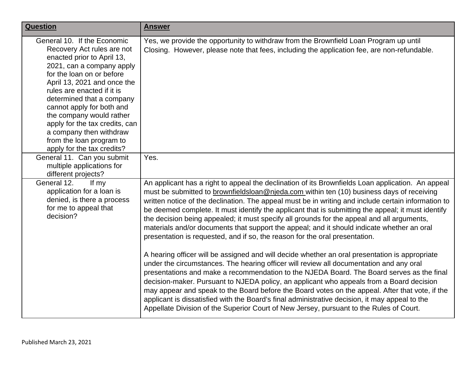| <b>Question</b>                                                                                                                                                                                                                                                                                                                                                                                                             | <b>Answer</b>                                                                                                                                                                                                                                                                                                                                                                                                                                                                                                                                                                                                                                                                                                                                                                                                                                                                                                                                                                                                                                                                                                                                                                                                                                                                                                                                                                |
|-----------------------------------------------------------------------------------------------------------------------------------------------------------------------------------------------------------------------------------------------------------------------------------------------------------------------------------------------------------------------------------------------------------------------------|------------------------------------------------------------------------------------------------------------------------------------------------------------------------------------------------------------------------------------------------------------------------------------------------------------------------------------------------------------------------------------------------------------------------------------------------------------------------------------------------------------------------------------------------------------------------------------------------------------------------------------------------------------------------------------------------------------------------------------------------------------------------------------------------------------------------------------------------------------------------------------------------------------------------------------------------------------------------------------------------------------------------------------------------------------------------------------------------------------------------------------------------------------------------------------------------------------------------------------------------------------------------------------------------------------------------------------------------------------------------------|
| General 10. If the Economic<br>Recovery Act rules are not<br>enacted prior to April 13,<br>2021, can a company apply<br>for the loan on or before<br>April 13, 2021 and once the<br>rules are enacted if it is<br>determined that a company<br>cannot apply for both and<br>the company would rather<br>apply for the tax credits, can<br>a company then withdraw<br>from the loan program to<br>apply for the tax credits? | Yes, we provide the opportunity to withdraw from the Brownfield Loan Program up until<br>Closing. However, please note that fees, including the application fee, are non-refundable.                                                                                                                                                                                                                                                                                                                                                                                                                                                                                                                                                                                                                                                                                                                                                                                                                                                                                                                                                                                                                                                                                                                                                                                         |
| General 11. Can you submit<br>multiple applications for<br>different projects?                                                                                                                                                                                                                                                                                                                                              | Yes.                                                                                                                                                                                                                                                                                                                                                                                                                                                                                                                                                                                                                                                                                                                                                                                                                                                                                                                                                                                                                                                                                                                                                                                                                                                                                                                                                                         |
| General 12.<br>If my<br>application for a loan is<br>denied, is there a process<br>for me to appeal that<br>decision?                                                                                                                                                                                                                                                                                                       | An applicant has a right to appeal the declination of its Brownfields Loan application. An appeal<br>must be submitted to brownfieldsloan@njeda.com within ten (10) business days of receiving<br>written notice of the declination. The appeal must be in writing and include certain information to<br>be deemed complete. It must identify the applicant that is submitting the appeal; it must identify<br>the decision being appealed; it must specify all grounds for the appeal and all arguments,<br>materials and/or documents that support the appeal; and it should indicate whether an oral<br>presentation is requested, and if so, the reason for the oral presentation.<br>A hearing officer will be assigned and will decide whether an oral presentation is appropriate<br>under the circumstances. The hearing officer will review all documentation and any oral<br>presentations and make a recommendation to the NJEDA Board. The Board serves as the final<br>decision-maker. Pursuant to NJEDA policy, an applicant who appeals from a Board decision<br>may appear and speak to the Board before the Board votes on the appeal. After that vote, if the<br>applicant is dissatisfied with the Board's final administrative decision, it may appeal to the<br>Appellate Division of the Superior Court of New Jersey, pursuant to the Rules of Court. |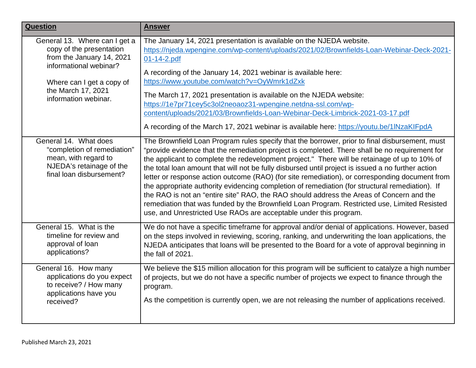| <b>Question</b>                                                                                                                                                                             | <b>Answer</b>                                                                                                                                                                                                                                                                                                                                                                                                                                                                                                                                                                                                                                                                                                                                                                                                                                                                 |
|---------------------------------------------------------------------------------------------------------------------------------------------------------------------------------------------|-------------------------------------------------------------------------------------------------------------------------------------------------------------------------------------------------------------------------------------------------------------------------------------------------------------------------------------------------------------------------------------------------------------------------------------------------------------------------------------------------------------------------------------------------------------------------------------------------------------------------------------------------------------------------------------------------------------------------------------------------------------------------------------------------------------------------------------------------------------------------------|
| General 13. Where can I get a<br>copy of the presentation<br>from the January 14, 2021<br>informational webinar?<br>Where can I get a copy of<br>the March 17, 2021<br>information webinar. | The January 14, 2021 presentation is available on the NJEDA website.<br>https://njeda.wpengine.com/wp-content/uploads/2021/02/Brownfields-Loan-Webinar-Deck-2021-<br>01-14-2.pdf<br>A recording of the January 14, 2021 webinar is available here:<br>https://www.youtube.com/watch?v=OyWmrk1dZxk<br>The March 17, 2021 presentation is available on the NJEDA website:<br>https://1e7pr71cey5c3ol2neoaoz31-wpengine.netdna-ssl.com/wp-<br>content/uploads/2021/03/Brownfields-Loan-Webinar-Deck-Limbrick-2021-03-17.pdf<br>A recording of the March 17, 2021 webinar is available here: https://youtu.be/1lNzaKIFpdA                                                                                                                                                                                                                                                         |
| General 14. What does<br>"completion of remediation"<br>mean, with regard to<br>NJEDA's retainage of the<br>final loan disbursement?                                                        | The Brownfield Loan Program rules specify that the borrower, prior to final disbursement, must<br>"provide evidence that the remediation project is completed. There shall be no requirement for<br>the applicant to complete the redevelopment project." There will be retainage of up to 10% of<br>the total loan amount that will not be fully disbursed until project is issued a no further action<br>letter or response action outcome (RAO) (for site remediation), or corresponding document from<br>the appropriate authority evidencing completion of remediation (for structural remediation). If<br>the RAO is not an "entire site" RAO, the RAO should address the Areas of Concern and the<br>remediation that was funded by the Brownfield Loan Program. Restricted use, Limited Resisted<br>use, and Unrestricted Use RAOs are acceptable under this program. |
| General 15. What is the<br>timeline for review and<br>approval of loan<br>applications?                                                                                                     | We do not have a specific timeframe for approval and/or denial of applications. However, based<br>on the steps involved in reviewing, scoring, ranking, and underwriting the loan applications, the<br>NJEDA anticipates that loans will be presented to the Board for a vote of approval beginning in<br>the fall of 2021.                                                                                                                                                                                                                                                                                                                                                                                                                                                                                                                                                   |
| General 16. How many<br>applications do you expect<br>to receive? / How many<br>applications have you<br>received?                                                                          | We believe the \$15 million allocation for this program will be sufficient to catalyze a high number<br>of projects, but we do not have a specific number of projects we expect to finance through the<br>program.<br>As the competition is currently open, we are not releasing the number of applications received.                                                                                                                                                                                                                                                                                                                                                                                                                                                                                                                                                         |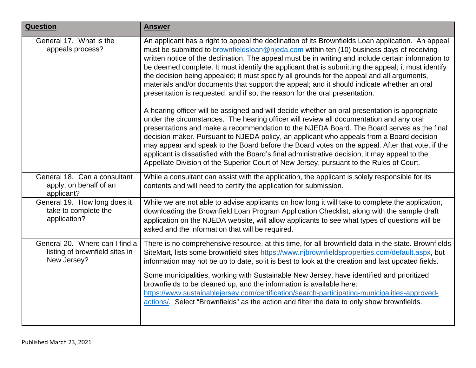| <b>Question</b>                                                                 | <b>Answer</b>                                                                                                                                                                                                                                                                                                                                                                                                                                                                                                                                                                                                                                                                                                                                                                                                                                                                                                                                                                                                                                                                                                                                                                                                                                                                            |
|---------------------------------------------------------------------------------|------------------------------------------------------------------------------------------------------------------------------------------------------------------------------------------------------------------------------------------------------------------------------------------------------------------------------------------------------------------------------------------------------------------------------------------------------------------------------------------------------------------------------------------------------------------------------------------------------------------------------------------------------------------------------------------------------------------------------------------------------------------------------------------------------------------------------------------------------------------------------------------------------------------------------------------------------------------------------------------------------------------------------------------------------------------------------------------------------------------------------------------------------------------------------------------------------------------------------------------------------------------------------------------|
| General 17. What is the<br>appeals process?                                     | An applicant has a right to appeal the declination of its Brownfields Loan application. An appeal<br>must be submitted to <b>brownfieldsloan@njeda.com</b> within ten (10) business days of receiving<br>written notice of the declination. The appeal must be in writing and include certain information to<br>be deemed complete. It must identify the applicant that is submitting the appeal; it must identify<br>the decision being appealed; it must specify all grounds for the appeal and all arguments,<br>materials and/or documents that support the appeal; and it should indicate whether an oral<br>presentation is requested, and if so, the reason for the oral presentation.<br>A hearing officer will be assigned and will decide whether an oral presentation is appropriate<br>under the circumstances. The hearing officer will review all documentation and any oral<br>presentations and make a recommendation to the NJEDA Board. The Board serves as the final<br>decision-maker. Pursuant to NJEDA policy, an applicant who appeals from a Board decision<br>may appear and speak to the Board before the Board votes on the appeal. After that vote, if the<br>applicant is dissatisfied with the Board's final administrative decision, it may appeal to the |
|                                                                                 | Appellate Division of the Superior Court of New Jersey, pursuant to the Rules of Court.                                                                                                                                                                                                                                                                                                                                                                                                                                                                                                                                                                                                                                                                                                                                                                                                                                                                                                                                                                                                                                                                                                                                                                                                  |
| General 18. Can a consultant<br>apply, on behalf of an<br>applicant?            | While a consultant can assist with the application, the applicant is solely responsible for its<br>contents and will need to certify the application for submission.                                                                                                                                                                                                                                                                                                                                                                                                                                                                                                                                                                                                                                                                                                                                                                                                                                                                                                                                                                                                                                                                                                                     |
| General 19. How long does it<br>take to complete the<br>application?            | While we are not able to advise applicants on how long it will take to complete the application,<br>downloading the Brownfield Loan Program Application Checklist, along with the sample draft<br>application on the NJEDA website, will allow applicants to see what types of questions will be<br>asked and the information that will be required.                                                                                                                                                                                                                                                                                                                                                                                                                                                                                                                                                                                                                                                                                                                                                                                                                                                                                                                                     |
| General 20. Where can I find a<br>listing of brownfield sites in<br>New Jersey? | There is no comprehensive resource, at this time, for all brownfield data in the state. Brownfields<br>SiteMart, lists some brownfield sites https://www.njbrownfieldsproperties.com/default.aspx, but<br>information may not be up to date, so it is best to look at the creation and last updated fields.                                                                                                                                                                                                                                                                                                                                                                                                                                                                                                                                                                                                                                                                                                                                                                                                                                                                                                                                                                              |
|                                                                                 | Some municipalities, working with Sustainable New Jersey, have identified and prioritized<br>brownfields to be cleaned up, and the information is available here:<br>https://www.sustainablejersey.com/certification/search-participating-municipalities-approved-<br>actions/. Select "Brownfields" as the action and filter the data to only show brownfields.                                                                                                                                                                                                                                                                                                                                                                                                                                                                                                                                                                                                                                                                                                                                                                                                                                                                                                                         |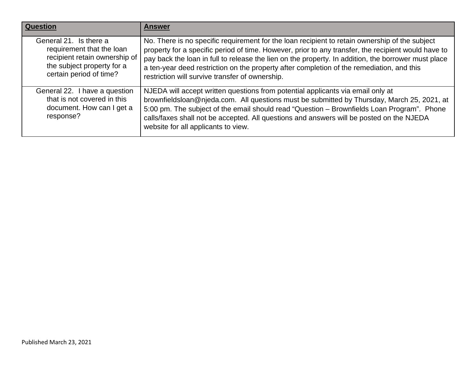| <b>Question</b>                                                                                                                               | <b>Answer</b>                                                                                                                                                                                                                                                                                                                                                                                                                                                |
|-----------------------------------------------------------------------------------------------------------------------------------------------|--------------------------------------------------------------------------------------------------------------------------------------------------------------------------------------------------------------------------------------------------------------------------------------------------------------------------------------------------------------------------------------------------------------------------------------------------------------|
| General 21. Is there a<br>requirement that the loan<br>recipient retain ownership of<br>the subject property for a<br>certain period of time? | No. There is no specific requirement for the loan recipient to retain ownership of the subject<br>property for a specific period of time. However, prior to any transfer, the recipient would have to<br>pay back the loan in full to release the lien on the property. In addition, the borrower must place<br>a ten-year deed restriction on the property after completion of the remediation, and this<br>restriction will survive transfer of ownership. |
| General 22. I have a question<br>that is not covered in this<br>document. How can I get a<br>response?                                        | NJEDA will accept written questions from potential applicants via email only at<br>brownfieldsloan@njeda.com. All questions must be submitted by Thursday, March 25, 2021, at<br>5:00 pm. The subject of the email should read "Question - Brownfields Loan Program". Phone<br>calls/faxes shall not be accepted. All questions and answers will be posted on the NJEDA<br>website for all applicants to view.                                               |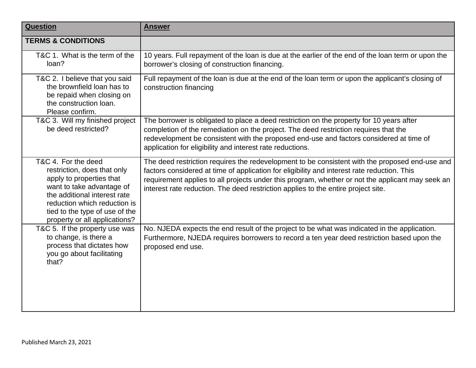| <b>Question</b>                                                                                                                                                                                                                                | <b>Answer</b>                                                                                                                                                                                                                                                                                                                                                                          |
|------------------------------------------------------------------------------------------------------------------------------------------------------------------------------------------------------------------------------------------------|----------------------------------------------------------------------------------------------------------------------------------------------------------------------------------------------------------------------------------------------------------------------------------------------------------------------------------------------------------------------------------------|
| <b>TERMS &amp; CONDITIONS</b>                                                                                                                                                                                                                  |                                                                                                                                                                                                                                                                                                                                                                                        |
| T&C 1. What is the term of the<br>loan?                                                                                                                                                                                                        | 10 years. Full repayment of the loan is due at the earlier of the end of the loan term or upon the<br>borrower's closing of construction financing.                                                                                                                                                                                                                                    |
| T&C 2. I believe that you said<br>the brownfield loan has to<br>be repaid when closing on<br>the construction loan.<br>Please confirm.                                                                                                         | Full repayment of the loan is due at the end of the loan term or upon the applicant's closing of<br>construction financing                                                                                                                                                                                                                                                             |
| T&C 3. Will my finished project<br>be deed restricted?                                                                                                                                                                                         | The borrower is obligated to place a deed restriction on the property for 10 years after<br>completion of the remediation on the project. The deed restriction requires that the<br>redevelopment be consistent with the proposed end-use and factors considered at time of<br>application for eligibility and interest rate reductions.                                               |
| T&C 4. For the deed<br>restriction, does that only<br>apply to properties that<br>want to take advantage of<br>the additional interest rate<br>reduction which reduction is<br>tied to the type of use of the<br>property or all applications? | The deed restriction requires the redevelopment to be consistent with the proposed end-use and<br>factors considered at time of application for eligibility and interest rate reduction. This<br>requirement applies to all projects under this program, whether or not the applicant may seek an<br>interest rate reduction. The deed restriction applies to the entire project site. |
| T&C 5. If the property use was<br>to change, is there a<br>process that dictates how<br>you go about facilitating<br>that?                                                                                                                     | No. NJEDA expects the end result of the project to be what was indicated in the application.<br>Furthermore, NJEDA requires borrowers to record a ten year deed restriction based upon the<br>proposed end use.                                                                                                                                                                        |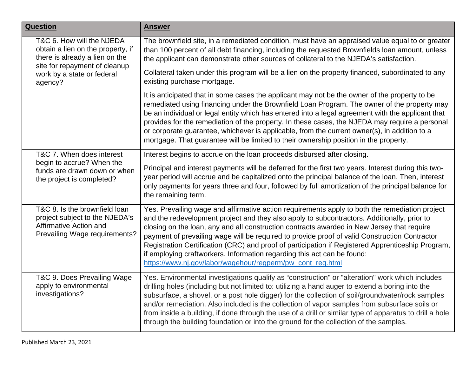| <b>Question</b>                                                                                                            | <b>Answer</b>                                                                                                                                                                                                                                                                                                                                                                                                                                                                                                                                                                                                                              |
|----------------------------------------------------------------------------------------------------------------------------|--------------------------------------------------------------------------------------------------------------------------------------------------------------------------------------------------------------------------------------------------------------------------------------------------------------------------------------------------------------------------------------------------------------------------------------------------------------------------------------------------------------------------------------------------------------------------------------------------------------------------------------------|
| T&C 6. How will the NJEDA<br>obtain a lien on the property, if<br>there is already a lien on the                           | The brownfield site, in a remediated condition, must have an appraised value equal to or greater<br>than 100 percent of all debt financing, including the requested Brownfields loan amount, unless<br>the applicant can demonstrate other sources of collateral to the NJEDA's satisfaction.                                                                                                                                                                                                                                                                                                                                              |
| site for repayment of cleanup<br>work by a state or federal<br>agency?                                                     | Collateral taken under this program will be a lien on the property financed, subordinated to any<br>existing purchase mortgage.                                                                                                                                                                                                                                                                                                                                                                                                                                                                                                            |
|                                                                                                                            | It is anticipated that in some cases the applicant may not be the owner of the property to be<br>remediated using financing under the Brownfield Loan Program. The owner of the property may<br>be an individual or legal entity which has entered into a legal agreement with the applicant that<br>provides for the remediation of the property. In these cases, the NJEDA may require a personal<br>or corporate guarantee, whichever is applicable, from the current owner(s), in addition to a<br>mortgage. That guarantee will be limited to their ownership position in the property.                                               |
| T&C 7. When does interest<br>begin to accrue? When the<br>funds are drawn down or when<br>the project is completed?        | Interest begins to accrue on the loan proceeds disbursed after closing.<br>Principal and interest payments will be deferred for the first two years. Interest during this two-<br>year period will accrue and be capitalized onto the principal balance of the loan. Then, interest<br>only payments for years three and four, followed by full amortization of the principal balance for<br>the remaining term.                                                                                                                                                                                                                           |
| T&C 8. Is the brownfield loan<br>project subject to the NJEDA's<br>Affirmative Action and<br>Prevailing Wage requirements? | Yes. Prevailing wage and affirmative action requirements apply to both the remediation project<br>and the redevelopment project and they also apply to subcontractors. Additionally, prior to<br>closing on the loan, any and all construction contracts awarded in New Jersey that require<br>payment of prevailing wage will be required to provide proof of valid Construction Contractor<br>Registration Certification (CRC) and proof of participation if Registered Apprenticeship Program,<br>if employing craftworkers. Information regarding this act can be found:<br>https://www.nj.gov/labor/wagehour/regperm/pw_cont_reg.html |
| T&C 9. Does Prevailing Wage<br>apply to environmental<br>investigations?                                                   | Yes. Environmental investigations qualify as "construction" or "alteration" work which includes<br>drilling holes (including but not limited to: utilizing a hand auger to extend a boring into the<br>subsurface, a shovel, or a post hole digger) for the collection of soil/groundwater/rock samples<br>and/or remediation. Also included is the collection of vapor samples from subsurface soils or<br>from inside a building, if done through the use of a drill or similar type of apparatus to drill a hole<br>through the building foundation or into the ground for the collection of the samples.                               |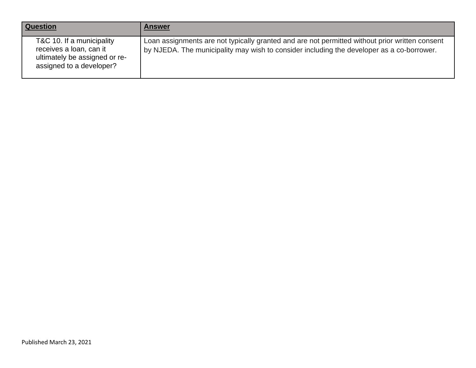| <b>Question</b>                                                                                                   | <b>Answer</b>                                                                                                                                                                               |
|-------------------------------------------------------------------------------------------------------------------|---------------------------------------------------------------------------------------------------------------------------------------------------------------------------------------------|
| T&C 10. If a municipality<br>receives a loan, can it<br>ultimately be assigned or re-<br>assigned to a developer? | Loan assignments are not typically granted and are not permitted without prior written consent<br>by NJEDA. The municipality may wish to consider including the developer as a co-borrower. |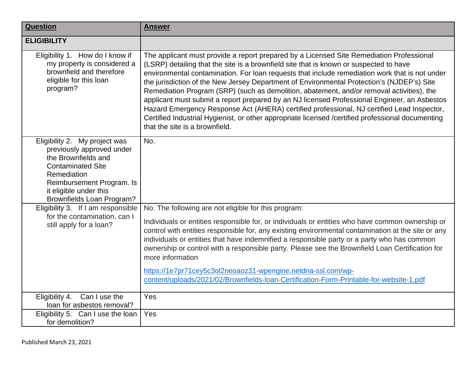| <b>Question</b>                                                                                                                                                                                                  | <b>Answer</b>                                                                                                                                                                                                                                                                                                                                                                                                                                                                                                                                                                                                                                                                                                                                                                                                        |
|------------------------------------------------------------------------------------------------------------------------------------------------------------------------------------------------------------------|----------------------------------------------------------------------------------------------------------------------------------------------------------------------------------------------------------------------------------------------------------------------------------------------------------------------------------------------------------------------------------------------------------------------------------------------------------------------------------------------------------------------------------------------------------------------------------------------------------------------------------------------------------------------------------------------------------------------------------------------------------------------------------------------------------------------|
| <b>ELIGIBILITY</b>                                                                                                                                                                                               |                                                                                                                                                                                                                                                                                                                                                                                                                                                                                                                                                                                                                                                                                                                                                                                                                      |
| Eligibility 1. How do I know if<br>my property is considered a<br>brownfield and therefore<br>eligible for this loan<br>program?                                                                                 | The applicant must provide a report prepared by a Licensed Site Remediation Professional<br>(LSRP) detailing that the site is a brownfield site that is known or suspected to have<br>environmental contamination. For loan requests that include remediation work that is not under<br>the jurisdiction of the New Jersey Department of Environmental Protection's (NJDEP's) Site<br>Remediation Program (SRP) (such as demolition, abatement, and/or removal activities), the<br>applicant must submit a report prepared by an NJ licensed Professional Engineer, an Asbestos<br>Hazard Emergency Response Act (AHERA) certified professional, NJ certified Lead Inspector,<br>Certified Industrial Hygienist, or other appropriate licensed /certified professional documenting<br>that the site is a brownfield. |
| Eligibility 2. My project was<br>previously approved under<br>the Brownfields and<br><b>Contaminated Site</b><br>Remediation<br>Reimbursement Program. Is<br>it eligible under this<br>Brownfields Loan Program? | No.                                                                                                                                                                                                                                                                                                                                                                                                                                                                                                                                                                                                                                                                                                                                                                                                                  |
| Eligibility 3. If I am responsible                                                                                                                                                                               | No. The following are not eligible for this program:                                                                                                                                                                                                                                                                                                                                                                                                                                                                                                                                                                                                                                                                                                                                                                 |
| for the contamination, can I<br>still apply for a loan?                                                                                                                                                          | Individuals or entities responsible for, or individuals or entities who have common ownership or<br>control with entities responsible for, any existing environmental contamination at the site or any<br>individuals or entities that have indemnified a responsible party or a party who has common<br>ownership or control with a responsible party. Please see the Brownfield Loan Certification for<br>more information<br>https://1e7pr71cey5c3ol2neoaoz31-wpengine.netdna-ssl.com/wp-<br>content/uploads/2021/02/Brownfields-Ioan-Certification-Form-Printable-for-website-1.pdf                                                                                                                                                                                                                              |
| Eligibility 4.<br>Can I use the<br>loan for asbestos removal?                                                                                                                                                    | Yes                                                                                                                                                                                                                                                                                                                                                                                                                                                                                                                                                                                                                                                                                                                                                                                                                  |
| Eligibility 5. Can I use the loan                                                                                                                                                                                | Yes                                                                                                                                                                                                                                                                                                                                                                                                                                                                                                                                                                                                                                                                                                                                                                                                                  |
| for demolition?                                                                                                                                                                                                  |                                                                                                                                                                                                                                                                                                                                                                                                                                                                                                                                                                                                                                                                                                                                                                                                                      |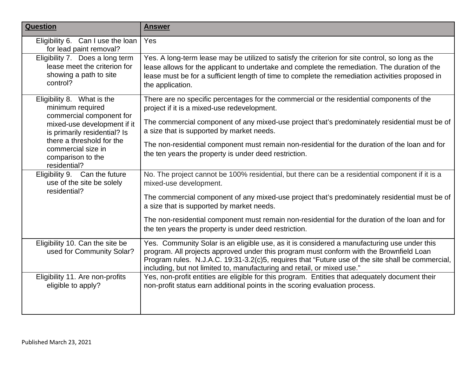| <b>Question</b>                                                                                                                           | <b>Answer</b>                                                                                                                                                                                                                                                                                                                                                          |
|-------------------------------------------------------------------------------------------------------------------------------------------|------------------------------------------------------------------------------------------------------------------------------------------------------------------------------------------------------------------------------------------------------------------------------------------------------------------------------------------------------------------------|
| Eligibility 6. Can I use the loan<br>for lead paint removal?                                                                              | Yes                                                                                                                                                                                                                                                                                                                                                                    |
| Eligibility 7. Does a long term<br>lease meet the criterion for<br>showing a path to site<br>control?                                     | Yes. A long-term lease may be utilized to satisfy the criterion for site control, so long as the<br>lease allows for the applicant to undertake and complete the remediation. The duration of the<br>lease must be for a sufficient length of time to complete the remediation activities proposed in<br>the application.                                              |
| Eligibility 8. What is the<br>minimum required<br>commercial component for<br>mixed-use development if it<br>is primarily residential? Is | There are no specific percentages for the commercial or the residential components of the<br>project if it is a mixed-use redevelopment.<br>The commercial component of any mixed-use project that's predominately residential must be of<br>a size that is supported by market needs.                                                                                 |
| there a threshold for the<br>commercial size in<br>comparison to the<br>residential?                                                      | The non-residential component must remain non-residential for the duration of the loan and for<br>the ten years the property is under deed restriction.                                                                                                                                                                                                                |
| Eligibility 9. Can the future<br>use of the site be solely<br>residential?                                                                | No. The project cannot be 100% residential, but there can be a residential component if it is a<br>mixed-use development.                                                                                                                                                                                                                                              |
|                                                                                                                                           | The commercial component of any mixed-use project that's predominately residential must be of<br>a size that is supported by market needs.                                                                                                                                                                                                                             |
|                                                                                                                                           | The non-residential component must remain non-residential for the duration of the loan and for<br>the ten years the property is under deed restriction.                                                                                                                                                                                                                |
| Eligibility 10. Can the site be<br>used for Community Solar?                                                                              | Yes. Community Solar is an eligible use, as it is considered a manufacturing use under this<br>program. All projects approved under this program must conform with the Brownfield Loan<br>Program rules. N.J.A.C. 19:31-3.2(c)5, requires that "Future use of the site shall be commercial,<br>including, but not limited to, manufacturing and retail, or mixed use." |
| Eligibility 11. Are non-profits<br>eligible to apply?                                                                                     | Yes, non-profit entities are eligible for this program. Entities that adequately document their<br>non-profit status earn additional points in the scoring evaluation process.                                                                                                                                                                                         |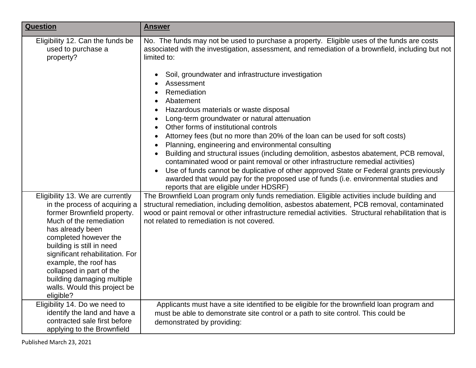| <b>Question</b>                                                                                                                                                                                                                                                                                                                                                          | <b>Answer</b>                                                                                                                                                                                                                                                                                                                                                                                                                                                                                                                                                                                                                                                                                                                                                                                                        |
|--------------------------------------------------------------------------------------------------------------------------------------------------------------------------------------------------------------------------------------------------------------------------------------------------------------------------------------------------------------------------|----------------------------------------------------------------------------------------------------------------------------------------------------------------------------------------------------------------------------------------------------------------------------------------------------------------------------------------------------------------------------------------------------------------------------------------------------------------------------------------------------------------------------------------------------------------------------------------------------------------------------------------------------------------------------------------------------------------------------------------------------------------------------------------------------------------------|
| Eligibility 12. Can the funds be<br>used to purchase a<br>property?                                                                                                                                                                                                                                                                                                      | No. The funds may not be used to purchase a property. Eligible uses of the funds are costs<br>associated with the investigation, assessment, and remediation of a brownfield, including but not<br>limited to:                                                                                                                                                                                                                                                                                                                                                                                                                                                                                                                                                                                                       |
|                                                                                                                                                                                                                                                                                                                                                                          | Soil, groundwater and infrastructure investigation<br>$\bullet$<br>Assessment<br>Remediation<br>Abatement<br>Hazardous materials or waste disposal<br>$\bullet$<br>Long-term groundwater or natural attenuation<br>Other forms of institutional controls<br>Attorney fees (but no more than 20% of the loan can be used for soft costs)<br>Planning, engineering and environmental consulting<br>Building and structural issues (including demolition, asbestos abatement, PCB removal,<br>contaminated wood or paint removal or other infrastructure remedial activities)<br>Use of funds cannot be duplicative of other approved State or Federal grants previously<br>$\bullet$<br>awarded that would pay for the proposed use of funds (i.e. environmental studies and<br>reports that are eligible under HDSRF) |
| Eligibility 13. We are currently<br>in the process of acquiring a<br>former Brownfield property.<br>Much of the remediation<br>has already been<br>completed however the<br>building is still in need<br>significant rehabilitation. For<br>example, the roof has<br>collapsed in part of the<br>building damaging multiple<br>walls. Would this project be<br>eligible? | The Brownfield Loan program only funds remediation. Eligible activities include building and<br>structural remediation, including demolition, asbestos abatement, PCB removal, contaminated<br>wood or paint removal or other infrastructure remedial activities. Structural rehabilitation that is<br>not related to remediation is not covered.                                                                                                                                                                                                                                                                                                                                                                                                                                                                    |
| Eligibility 14. Do we need to<br>identify the land and have a<br>contracted sale first before<br>applying to the Brownfield                                                                                                                                                                                                                                              | Applicants must have a site identified to be eligible for the brownfield loan program and<br>must be able to demonstrate site control or a path to site control. This could be<br>demonstrated by providing:                                                                                                                                                                                                                                                                                                                                                                                                                                                                                                                                                                                                         |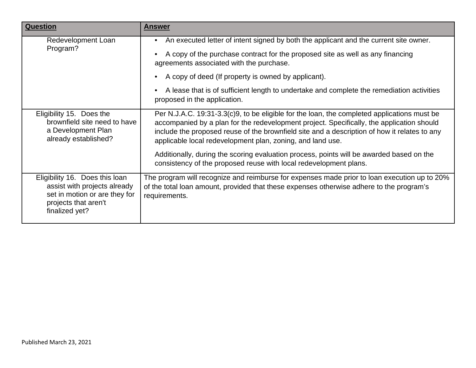| <b>Question</b>                                                                                                                           | <b>Answer</b>                                                                                                                                                                                                                                                                                                                                          |
|-------------------------------------------------------------------------------------------------------------------------------------------|--------------------------------------------------------------------------------------------------------------------------------------------------------------------------------------------------------------------------------------------------------------------------------------------------------------------------------------------------------|
| Redevelopment Loan<br>Program?                                                                                                            | An executed letter of intent signed by both the applicant and the current site owner.<br>$\bullet$                                                                                                                                                                                                                                                     |
|                                                                                                                                           | A copy of the purchase contract for the proposed site as well as any financing<br>agreements associated with the purchase.                                                                                                                                                                                                                             |
|                                                                                                                                           | A copy of deed (If property is owned by applicant).                                                                                                                                                                                                                                                                                                    |
|                                                                                                                                           | A lease that is of sufficient length to undertake and complete the remediation activities<br>proposed in the application.                                                                                                                                                                                                                              |
| Eligibility 15. Does the<br>brownfield site need to have<br>a Development Plan<br>already established?                                    | Per N.J.A.C. 19:31-3.3(c)9, to be eligible for the loan, the completed applications must be<br>accompanied by a plan for the redevelopment project. Specifically, the application should<br>include the proposed reuse of the brownfield site and a description of how it relates to any<br>applicable local redevelopment plan, zoning, and land use. |
|                                                                                                                                           | Additionally, during the scoring evaluation process, points will be awarded based on the<br>consistency of the proposed reuse with local redevelopment plans.                                                                                                                                                                                          |
| Eligibility 16. Does this loan<br>assist with projects already<br>set in motion or are they for<br>projects that aren't<br>finalized yet? | The program will recognize and reimburse for expenses made prior to loan execution up to 20%<br>of the total loan amount, provided that these expenses otherwise adhere to the program's<br>requirements.                                                                                                                                              |